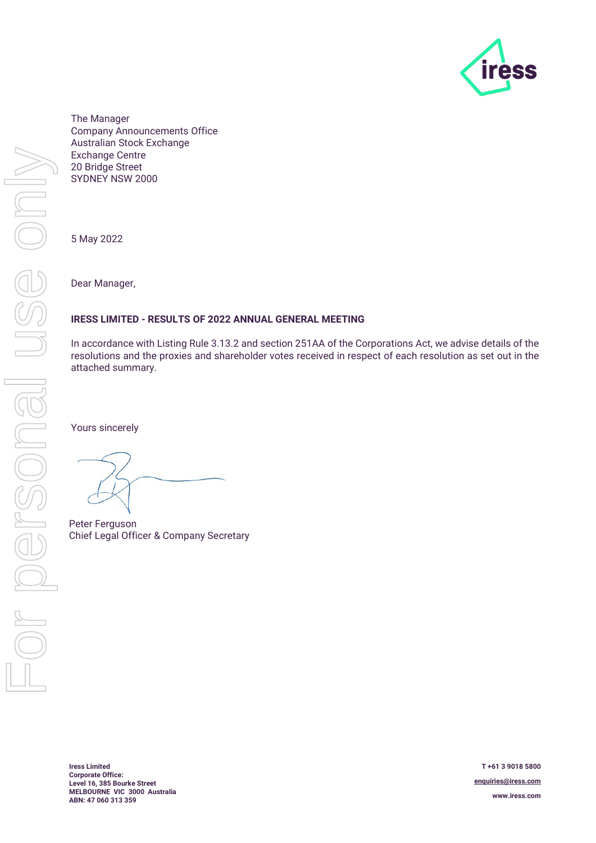

The Manager Company Announcements Office Australian Stock Exchange Exchange Centre 20 Bridge Street SYDNEY NSW 2000

5 May 2022

Dear Manager,

## **IRESS LIMITED - RESULTS OF 2022 ANNUAL GENERAL MEETING**

In accordance with Listing Rule 3.13.2 and section 251AA of the Corporations Act, we advise details of the resolutions and the proxies and shareholder votes received in respect of each resolution as set out in the attached summary.

Yours sincerely

Peter Ferguson Chief Legal Officer & Company Secretary

**Iress Limited Corporate Office: Level 16, 385 Bourke Street MELBOURNE VIC 3000 Australia ABN: 47 060 313 359**

**T +61 3 9018 5800 enquiries@iress.com www.iress.com**